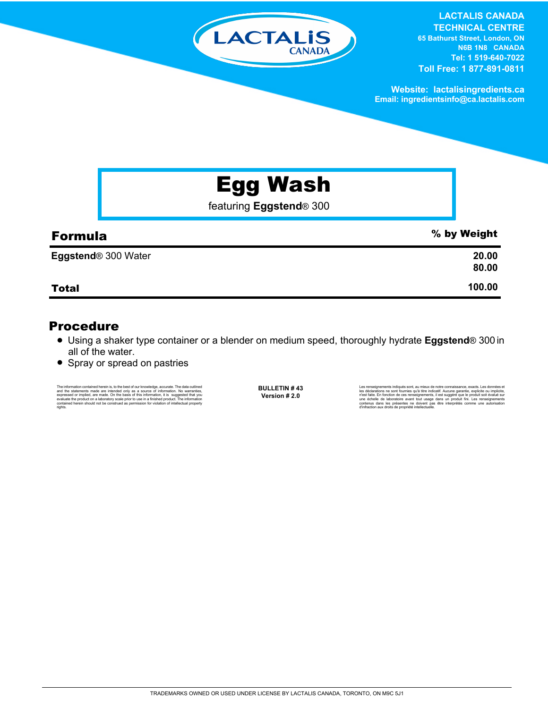

**LACTALIS CANADA TECHNICAL CENTRE 65 Bathurst Street, London, ON N6B 1N8 CANADA Tel: 1 519-640-7022 Toll Free: 1 877-891-0811**

**Website: lactalisingredients.ca Email: ingredientsinfo@ca.lactalis.com**

# Egg Wash

featuring **Eggstend**® 300

| <b>Formula</b>             | % by Weight    |
|----------------------------|----------------|
| <b>Eggstend® 300 Water</b> | 20.00<br>80.00 |
| <b>Total</b>               | 100.00         |

### Procedure

- = Using a shaker type container or a blender on medium speed, thoroughly hydrate **Eggstend**® 300 in all of the water.
- Spray or spread on pastries

The information contained herein is, to the best of our knowledge, accurate. The data outlined<br>and the statements made are intended only as a a source of information. No warranties,<br>expressed or implied, are made. On the b rights.

**BULLETIN # 43 Version # 2.0**

Les renseignements indiqués sont, au mieux de notre connaissance, exacts. Les données et<br>les déclarations ne sont fournies qu'à titre indicatif. Aucune garantie, explicite ou implicite,<br>riest faite. En fonction de ces rens